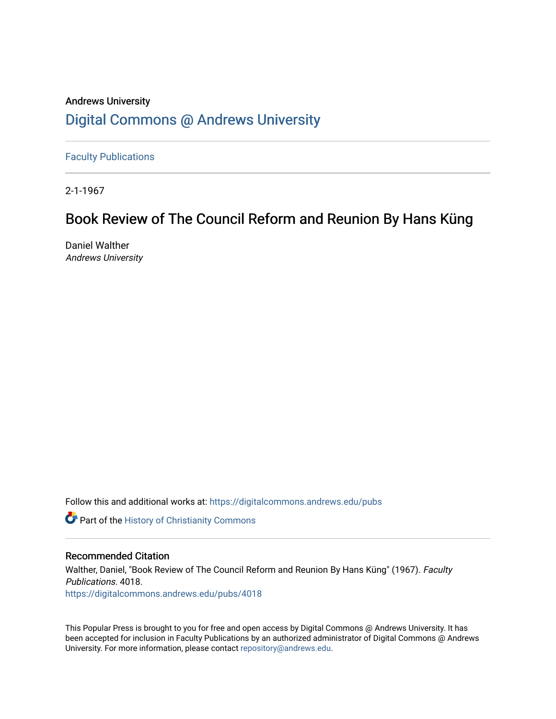## Andrews University [Digital Commons @ Andrews University](https://digitalcommons.andrews.edu/)

[Faculty Publications](https://digitalcommons.andrews.edu/pubs)

2-1-1967

# Book Review of The Council Reform and Reunion By Hans Küng

Daniel Walther Andrews University

Follow this and additional works at: [https://digitalcommons.andrews.edu/pubs](https://digitalcommons.andrews.edu/pubs?utm_source=digitalcommons.andrews.edu%2Fpubs%2F4018&utm_medium=PDF&utm_campaign=PDFCoverPages) 

**Part of the History of Christianity Commons** 

## Recommended Citation

Walther, Daniel, "Book Review of The Council Reform and Reunion By Hans Küng" (1967). Faculty Publications. 4018. [https://digitalcommons.andrews.edu/pubs/4018](https://digitalcommons.andrews.edu/pubs/4018?utm_source=digitalcommons.andrews.edu%2Fpubs%2F4018&utm_medium=PDF&utm_campaign=PDFCoverPages) 

This Popular Press is brought to you for free and open access by Digital Commons @ Andrews University. It has been accepted for inclusion in Faculty Publications by an authorized administrator of Digital Commons @ Andrews University. For more information, please contact [repository@andrews.edu](mailto:repository@andrews.edu).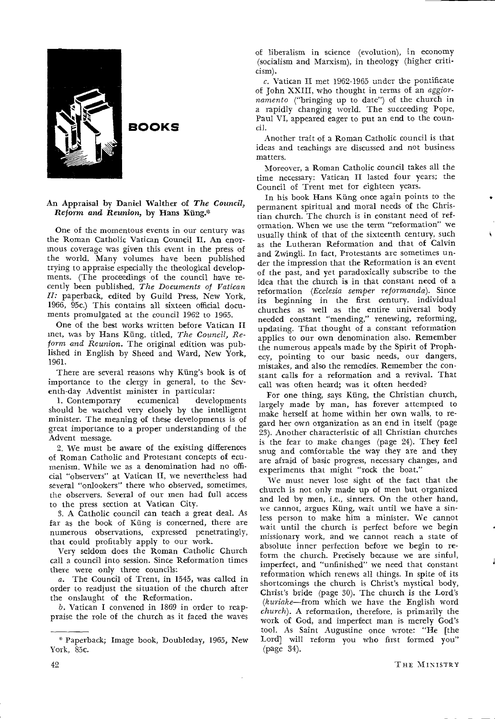

**BOOKS** 

#### An Appraisal by Daniel Walther of *The Council,*   $Reform$  and Reunion, by Hans Küng.\*

One of the momentous events in our century was the Roman Catholic Vatican Council II. An enormous coverage was given this event in the press of the world. Many volumes have been published trying to appraise especially the theological developments. (The proceedings of the council have recently been published, *The Documents of Vatican II:* paperback, edited by Guild Press, New York, 1966, 95c.) This contains all sixteen official documents promulgated at the council 1962 to 1965.

One of the best works written before Vatican II met, was by Hans Kling, titled, *The Council, Reform and Reunion.* The original edition was published in English by Sheed and Ward, New York, 1961.

There are several reasons why Küng's book is of importance to the clergy in general, to the Seventh-day Adventist minister in particular:

1. Contemporary ecumenical developments should be watched very closely by the intelligent minister. The meaning of these developments is of great importance to a proper understanding of the Advent message.

2. We must be aware of the existing differences of Roman Catholic and Protestant concepts of ecumenism. While we as a denomination had no official "observers" at Vatican H, we nevertheless had several "onlookers" there who observed, sometimes, the observers. Several of our men had full access to the press section at Vatican City.

3. A Catholic council can teach a great deal. As far as the book of Ming is concerned, there are numerous observations, expressed penetratingly, that could profitably apply to our work.

Very seldom does the Roman Catholic Church call a council into session. Since Reformation times there were only three councils:

a. The Council of Trent, in 1545, was called in order to readjust the situation of the church after the onslaught of the Reformation.

b. Vatican I convened in 1869 in order to reappraise the role of the church as it faced the waves

of liberalism in science (evolution), in economy (socialism and Marxism), in theology (higher criticism).

 $c$ . Vatican II met 1962-1965 under the pontificate of John XXIII, who thought in terms of an *aggiornamento* ("bringing up to date") of the church in a rapidly changing world. The succeeding Pope, Paul VI, appeared eager to put an end to the council.

Another trait of a Roman Catholic council is that ideas and teachings are discussed and not business matters.

Moreover, a Roman Catholic council takes all the time necessary: Vatican II lasted four years; the Council of Trent met for eighteen years.

In his book Hans Küng once again points to the permanent spiritual and moral needs of the Christian church. The church is in constant need of reformation. When we use the term "reformation" we usually think of that of the sixteenth century, such as the Lutheran Reformation and that of Calvin and Zwingli. In fact, Protestants are sometimes under the impression that the Reformation is an event of the past, and yet paradoxically subscribe to the idea that the church is in that constant need of a reformation *(Ecclesia semper reformanda).* Since its beginning in the first century, individual churches as well as the entire universal body needed constant "mending," renewing, reforming, updating. That thought of a constant reformation applies to our own denomination also. Remember the numerous appeals made by the Spirit of Prophecy, pointing to our basic needs, our dangers, mistakes, and also the remedies. Remember the constant calls for a reformation and a revival. That call was often heard; was it often heeded?

For one thing, says Küng, the Christian church, largely made by man, has forever attempted to make herself at home within her own walls, to regard her own organization as an end in itself (page 23). Another characteristic of all Christian churches is the fear to make changes (page 24). They feel snug and comfortable the way they are and they are afraid of basic progress, necessary changes, and experiments that might "rock the boat."

We must never lose sight of the fact that the church is not only made up of men but organized and led by men, i.e., sinners. On the other hand, we cannot, argues Ming, wait until we have a sinless person to make him a minister. We cannot wait until the church is perfect before we begin missionary work, and we cannot reach a state of absolute inner perfection before we begin to reform the church. Precisely because we are sinful, imperfect, and "unfinished" we need that constant reformation which renews all things. In spite of its shortcomings the church is Christ's mystical body, Christ's bride (page 30). The church is the Lord's *(kuriake—from* which we have the English word *church).* A reformation, therefore, is primarily the work of God, and imperfect man is merely God's tool. As Saint Augustine once wrote: "He [the Lord] will reform you who first formed you" (page 34).

Paperback; Image book, Doubleday, 1965, New York, 85c.